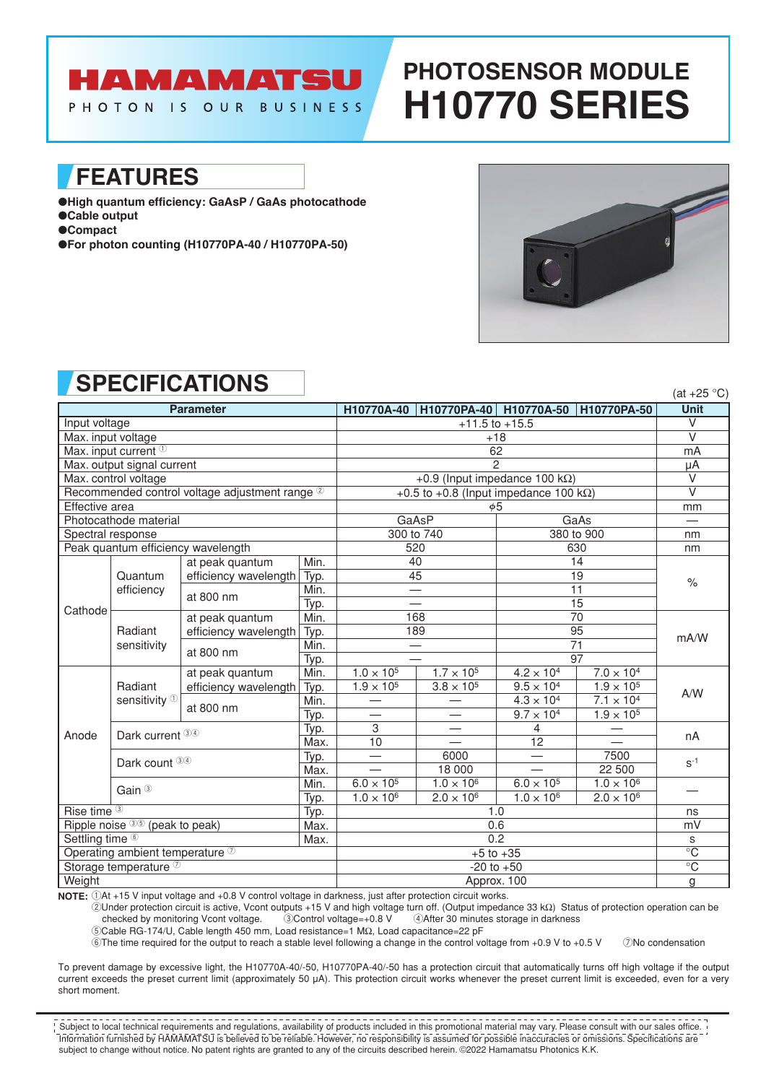# HAMAMATSU

PHOTON IS OUR BUSINESS

# **PHOTOSENSOR MODULE H10770 SERIES**

### **FEATURES**

●**High quantum efficiency: GaAsP / GaAs photocathode** ●**Cable output**

●**Compact**

●**For photon counting (H10770PA-40 / H10770PA-50)**



(at  $+25$  °C)

## **SPECIFICATIONS**

| <b>Parameter</b>                               |                                     |                       |              | H10770A-40                                     | H10770PA-40 H10770A-50                     |                                            | H10770PA-50                                | 1 LU 1 LU<br><b>Unit</b> |  |
|------------------------------------------------|-------------------------------------|-----------------------|--------------|------------------------------------------------|--------------------------------------------|--------------------------------------------|--------------------------------------------|--------------------------|--|
| Input voltage                                  |                                     |                       |              | $+11.5$ to $+15.5$                             |                                            |                                            |                                            | $\vee$                   |  |
| Max. input voltage                             |                                     |                       |              | $+18$                                          |                                            |                                            |                                            | $\overline{\vee}$        |  |
| Max. input current <sup>1</sup>                |                                     |                       |              | 62                                             |                                            |                                            |                                            | mA                       |  |
| Max. output signal current                     |                                     |                       |              | $\mathfrak{p}$                                 |                                            |                                            |                                            | μA                       |  |
| Max. control voltage                           |                                     |                       |              | +0.9 (Input impedance 100 k $\Omega$ )         |                                            |                                            |                                            | V                        |  |
| Recommended control voltage adjustment range 2 |                                     |                       |              | +0.5 to +0.8 (Input impedance 100 k $\Omega$ ) |                                            |                                            |                                            | $\overline{\vee}$        |  |
| Effective area                                 |                                     |                       |              | $\phi$ 5                                       |                                            |                                            |                                            | mm                       |  |
| Photocathode material                          |                                     |                       |              | GaAsP<br>GaAs                                  |                                            |                                            |                                            |                          |  |
| Spectral response                              |                                     |                       |              | 300 to 740                                     |                                            | 380 to 900                                 |                                            | nm                       |  |
| Peak quantum efficiency wavelength             |                                     |                       |              | 520                                            |                                            | 630                                        |                                            | nm                       |  |
| Cathode                                        | Quantum<br>efficiency               | at peak quantum       | Min.         |                                                | 40                                         |                                            | 14                                         |                          |  |
|                                                |                                     | efficiency wavelength | Typ.         | 45<br>19                                       |                                            | $\frac{1}{2}$                              |                                            |                          |  |
|                                                |                                     | at 800 nm             | Min.         |                                                |                                            | 11                                         |                                            | mA/W                     |  |
|                                                |                                     |                       | Typ.         | 15                                             |                                            |                                            |                                            |                          |  |
|                                                | Radiant<br>sensitivity              | at peak quantum       | Min.         | 168                                            |                                            | 70                                         |                                            |                          |  |
|                                                |                                     | efficiency wavelength | Typ.         | 189                                            |                                            | 95                                         |                                            |                          |  |
|                                                |                                     | at 800 nm             | Min.         |                                                |                                            | 71<br>97                                   |                                            |                          |  |
|                                                |                                     |                       | Typ.         |                                                |                                            |                                            |                                            |                          |  |
| Anode                                          | Radiant<br>sensitivity <sup>1</sup> | at peak quantum       | Min.         | $1.0 \times 10^{5}$<br>$1.9 \times 10^{5}$     | $1.7 \times 10^{5}$<br>$3.8 \times 10^{5}$ | $4.2 \times 10^{4}$<br>$9.5 \times 10^{4}$ | $7.0 \times 10^{4}$<br>$1.9 \times 10^{5}$ | A/W                      |  |
|                                                |                                     | efficiency wavelength | Typ.<br>Min. |                                                |                                            | $4.3 \times 10^{4}$                        | $7.1 \times 10^{4}$                        |                          |  |
|                                                |                                     | at 800 nm             | Typ.         |                                                |                                            | $9.7 \times 10^{4}$                        | $1.9 \times 10^{5}$                        |                          |  |
|                                                |                                     |                       | Typ.         | $\ensuremath{\mathsf{3}}$                      |                                            | 4                                          |                                            |                          |  |
|                                                | Dark current 34                     |                       | Max.         | 10                                             |                                            | 12                                         |                                            | nA                       |  |
|                                                | Dark count 34                       |                       | Typ.         |                                                | 6000                                       |                                            | 7500                                       | $S^{-1}$                 |  |
|                                                |                                     |                       | Max.         |                                                | 18 000                                     |                                            | 22 500                                     |                          |  |
|                                                | Gain <sup>3</sup>                   |                       | Min.         | $6.0 \times 10^{5}$                            | $1.0 \times 10^{6}$                        | $6.0 \times 10^{5}$                        | $1.0 \times 10^{6}$                        |                          |  |
|                                                |                                     |                       | Typ.         | $1.0 \times 10^{6}$                            | $2.0 \times 10^{6}$                        | $1.0 \times 10^{6}$                        | $2.0 \times 10^{6}$                        |                          |  |
| Rise time <sup>3</sup><br>Typ.                 |                                     |                       |              | 1.0                                            |                                            |                                            | ns                                         |                          |  |
| Ripple noise 35 (peak to peak)<br>Max.         |                                     |                       | 0.6          |                                                |                                            | mV                                         |                                            |                          |  |
| Settling time <sup>6</sup><br>Max.             |                                     |                       |              | 0.2                                            |                                            |                                            | S                                          |                          |  |
| Operating ambient temperature 2                |                                     |                       |              | $+5$ to $+35$                                  |                                            |                                            | $\overline{C}$                             |                          |  |
| Storage temperature <sup>7</sup>               |                                     |                       |              | $-20$ to $+50$                                 |                                            |                                            | $\overline{C}$                             |                          |  |
| Weight                                         |                                     |                       |              | Approx. 100                                    |                                            |                                            | g                                          |                          |  |

**NOTE:** 1At +15 V input voltage and +0.8 V control voltage in darkness, just after protection circuit works.

2Under protection circuit is active, Vcont outputs +15 V and high voltage turn off. (Output impedance 33 kΩ) Status of protection operation can be 4) After 30 minutes storage in darkness

5Cable RG-174/U, Cable length 450 mm, Load resistance=1 MΩ, Load capacitance=22 pF

 $\overline{6}$ The time required for the output to reach a stable level following a change in the control voltage from +0.9 V to +0.5 V  $\overline{7}$ No condensation

To prevent damage by excessive light, the H10770A-40/-50, H10770PA-40/-50 has a protection circuit that automatically turns off high voltage if the output current exceeds the preset current limit (approximately 50 µA). This protection circuit works whenever the preset current limit is exceeded, even for a very short moment.

Information furnished by HAMAMATSU is believed to be reliable. However, no responsibility is assumed for possible inaccuracies or omissions. Specifications are subject to change without notice. No patent rights are granted to any of the circuits described herein. ©2022 Hamamatsu Photonics K.K. Subject to local technical requirements and regulations, availability of products included in this promotional material may vary. Please consult with our sales office.